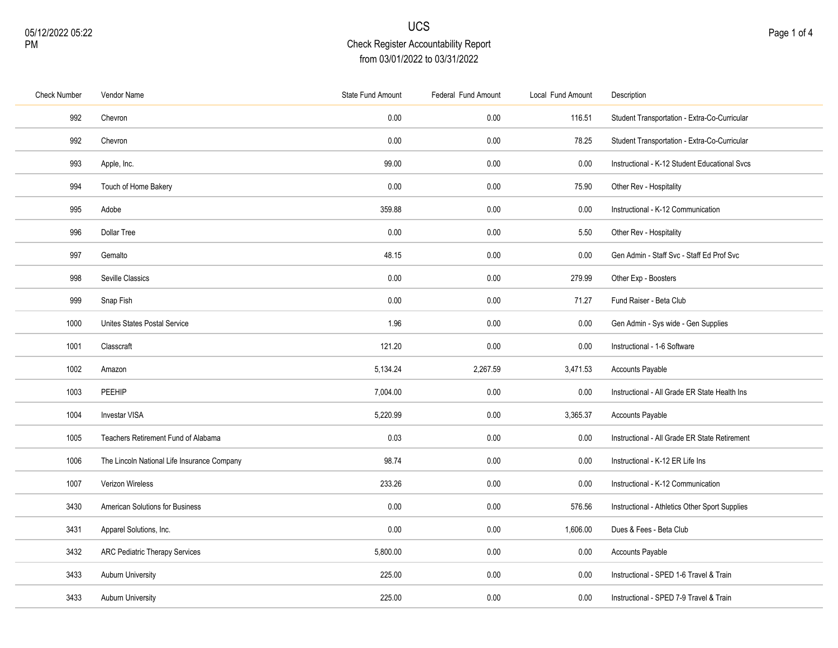| Check Number | Vendor Name                                 | State Fund Amount | Federal Fund Amount | Local Fund Amount | Description                                    |
|--------------|---------------------------------------------|-------------------|---------------------|-------------------|------------------------------------------------|
| 992          | Chevron                                     | 0.00              | 0.00                | 116.51            | Student Transportation - Extra-Co-Curricular   |
| 992          | Chevron                                     | 0.00              | 0.00                | 78.25             | Student Transportation - Extra-Co-Curricular   |
| 993          | Apple, Inc.                                 | 99.00             | 0.00                | 0.00              | Instructional - K-12 Student Educational Svcs  |
| 994          | Touch of Home Bakery                        | 0.00              | 0.00                | 75.90             | Other Rev - Hospitality                        |
| 995          | Adobe                                       | 359.88            | 0.00                | 0.00              | Instructional - K-12 Communication             |
| 996          | <b>Dollar Tree</b>                          | 0.00              | 0.00                | 5.50              | Other Rev - Hospitality                        |
| 997          | Gemalto                                     | 48.15             | 0.00                | 0.00              | Gen Admin - Staff Svc - Staff Ed Prof Svc      |
| 998          | Seville Classics                            | 0.00              | 0.00                | 279.99            | Other Exp - Boosters                           |
| 999          | Snap Fish                                   | 0.00              | 0.00                | 71.27             | Fund Raiser - Beta Club                        |
| 1000         | Unites States Postal Service                | 1.96              | 0.00                | 0.00              | Gen Admin - Sys wide - Gen Supplies            |
| 1001         | Classcraft                                  | 121.20            | 0.00                | 0.00              | Instructional - 1-6 Software                   |
| 1002         | Amazon                                      | 5,134.24          | 2,267.59            | 3,471.53          | Accounts Payable                               |
| 1003         | PEEHIP                                      | 7,004.00          | 0.00                | 0.00              | Instructional - All Grade ER State Health Ins  |
| 1004         | <b>Investar VISA</b>                        | 5,220.99          | 0.00                | 3,365.37          | Accounts Payable                               |
| 1005         | Teachers Retirement Fund of Alabama         | 0.03              | 0.00                | 0.00              | Instructional - All Grade ER State Retirement  |
| 1006         | The Lincoln National Life Insurance Company | 98.74             | 0.00                | 0.00              | Instructional - K-12 ER Life Ins               |
| 1007         | Verizon Wireless                            | 233.26            | $0.00\,$            | 0.00              | Instructional - K-12 Communication             |
| 3430         | American Solutions for Business             | 0.00              | 0.00                | 576.56            | Instructional - Athletics Other Sport Supplies |
| 3431         | Apparel Solutions, Inc.                     | 0.00              | 0.00                | 1,606.00          | Dues & Fees - Beta Club                        |
| 3432         | <b>ARC Pediatric Therapy Services</b>       | 5,800.00          | 0.00                | 0.00              | Accounts Payable                               |
| 3433         | Auburn University                           | 225.00            | 0.00                | 0.00              | Instructional - SPED 1-6 Travel & Train        |
| 3433         | <b>Auburn University</b>                    | 225.00            | 0.00                | 0.00              | Instructional - SPED 7-9 Travel & Train        |
|              |                                             |                   |                     |                   |                                                |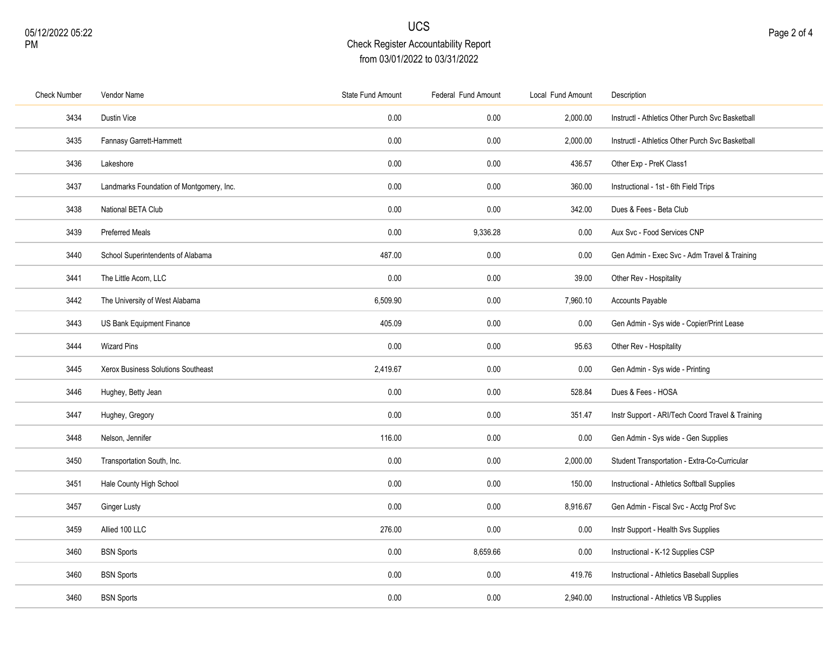| <b>Check Number</b> | Vendor Name                              | <b>State Fund Amount</b> | Federal Fund Amount | Local Fund Amount | Description                                      |
|---------------------|------------------------------------------|--------------------------|---------------------|-------------------|--------------------------------------------------|
| 3434                | Dustin Vice                              | 0.00                     | 0.00                | 2,000.00          | InstructI - Athletics Other Purch Svc Basketball |
| 3435                | Fannasy Garrett-Hammett                  | 0.00                     | 0.00                | 2,000.00          | InstructI - Athletics Other Purch Svc Basketball |
| 3436                | Lakeshore                                | 0.00                     | 0.00                | 436.57            | Other Exp - PreK Class1                          |
| 3437                | Landmarks Foundation of Montgomery, Inc. | 0.00                     | 0.00                | 360.00            | Instructional - 1st - 6th Field Trips            |
| 3438                | National BETA Club                       | 0.00                     | 0.00                | 342.00            | Dues & Fees - Beta Club                          |
| 3439                | <b>Preferred Meals</b>                   | 0.00                     | 9,336.28            | 0.00              | Aux Svc - Food Services CNP                      |
| 3440                | School Superintendents of Alabama        | 487.00                   | 0.00                | 0.00              | Gen Admin - Exec Svc - Adm Travel & Training     |
| 3441                | The Little Acorn, LLC                    | 0.00                     | 0.00                | 39.00             | Other Rev - Hospitality                          |
| 3442                | The University of West Alabama           | 6,509.90                 | 0.00                | 7,960.10          | Accounts Payable                                 |
| 3443                | US Bank Equipment Finance                | 405.09                   | 0.00                | 0.00              | Gen Admin - Sys wide - Copier/Print Lease        |
| 3444                | <b>Wizard Pins</b>                       | 0.00                     | 0.00                | 95.63             | Other Rev - Hospitality                          |
| 3445                | Xerox Business Solutions Southeast       | 2,419.67                 | 0.00                | 0.00              | Gen Admin - Sys wide - Printing                  |
| 3446                | Hughey, Betty Jean                       | 0.00                     | 0.00                | 528.84            | Dues & Fees - HOSA                               |
| 3447                | Hughey, Gregory                          | 0.00                     | 0.00                | 351.47            | Instr Support - ARI/Tech Coord Travel & Training |
| 3448                | Nelson, Jennifer                         | 116.00                   | 0.00                | 0.00              | Gen Admin - Sys wide - Gen Supplies              |
| 3450                | Transportation South, Inc.               | 0.00                     | 0.00                | 2,000.00          | Student Transportation - Extra-Co-Curricular     |
| 3451                | Hale County High School                  | 0.00                     | 0.00                | 150.00            | Instructional - Athletics Softball Supplies      |
| 3457                | Ginger Lusty                             | 0.00                     | 0.00                | 8,916.67          | Gen Admin - Fiscal Svc - Acctg Prof Svc          |
| 3459                | Allied 100 LLC                           | 276.00                   | 0.00                | 0.00              | Instr Support - Health Svs Supplies              |
| 3460                | <b>BSN Sports</b>                        | 0.00                     | 8,659.66            | 0.00              | Instructional - K-12 Supplies CSP                |
| 3460                | <b>BSN Sports</b>                        | 0.00                     | 0.00                | 419.76            | Instructional - Athletics Baseball Supplies      |
| 3460                | <b>BSN Sports</b>                        | 0.00                     | 0.00                | 2,940.00          | Instructional - Athletics VB Supplies            |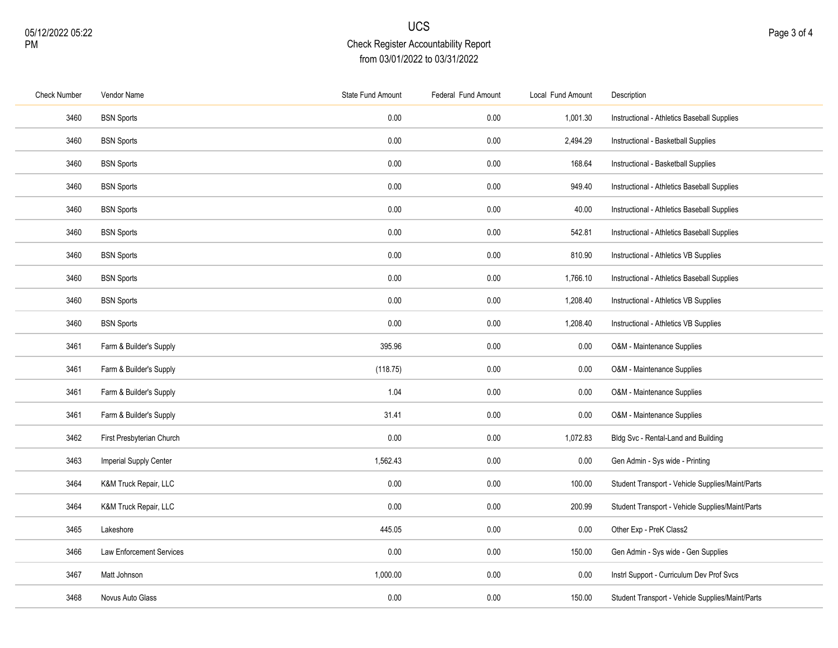| <b>Check Number</b> | Vendor Name                     | State Fund Amount | Federal Fund Amount | Local Fund Amount | Description                                      |
|---------------------|---------------------------------|-------------------|---------------------|-------------------|--------------------------------------------------|
| 3460                | <b>BSN Sports</b>               | 0.00              | 0.00                | 1,001.30          | Instructional - Athletics Baseball Supplies      |
| 3460                | <b>BSN Sports</b>               | 0.00              | 0.00                | 2,494.29          | Instructional - Basketball Supplies              |
| 3460                | <b>BSN Sports</b>               | 0.00              | 0.00                | 168.64            | Instructional - Basketball Supplies              |
| 3460                | <b>BSN Sports</b>               | 0.00              | 0.00                | 949.40            | Instructional - Athletics Baseball Supplies      |
| 3460                | <b>BSN Sports</b>               | 0.00              | 0.00                | 40.00             | Instructional - Athletics Baseball Supplies      |
| 3460                | <b>BSN Sports</b>               | 0.00              | 0.00                | 542.81            | Instructional - Athletics Baseball Supplies      |
| 3460                | <b>BSN Sports</b>               | 0.00              | 0.00                | 810.90            | Instructional - Athletics VB Supplies            |
| 3460                | <b>BSN Sports</b>               | 0.00              | 0.00                | 1,766.10          | Instructional - Athletics Baseball Supplies      |
| 3460                | <b>BSN Sports</b>               | 0.00              | 0.00                | 1,208.40          | Instructional - Athletics VB Supplies            |
| 3460                | <b>BSN Sports</b>               | 0.00              | $0.00\,$            | 1,208.40          | Instructional - Athletics VB Supplies            |
| 3461                | Farm & Builder's Supply         | 395.96            | 0.00                | 0.00              | O&M - Maintenance Supplies                       |
| 3461                | Farm & Builder's Supply         | (118.75)          | 0.00                | 0.00              | O&M - Maintenance Supplies                       |
| 3461                | Farm & Builder's Supply         | 1.04              | 0.00                | 0.00              | O&M - Maintenance Supplies                       |
| 3461                | Farm & Builder's Supply         | 31.41             | 0.00                | 0.00              | O&M - Maintenance Supplies                       |
| 3462                | First Presbyterian Church       | 0.00              | 0.00                | 1,072.83          | Bldg Svc - Rental-Land and Building              |
| 3463                | Imperial Supply Center          | 1,562.43          | 0.00                | 0.00              | Gen Admin - Sys wide - Printing                  |
| 3464                | K&M Truck Repair, LLC           | 0.00              | 0.00                | 100.00            | Student Transport - Vehicle Supplies/Maint/Parts |
| 3464                | K&M Truck Repair, LLC           | 0.00              | 0.00                | 200.99            | Student Transport - Vehicle Supplies/Maint/Parts |
| 3465                | Lakeshore                       | 445.05            | 0.00                | 0.00              | Other Exp - PreK Class2                          |
| 3466                | <b>Law Enforcement Services</b> | 0.00              | 0.00                | 150.00            | Gen Admin - Sys wide - Gen Supplies              |
| 3467                | Matt Johnson                    | 1,000.00          | 0.00                | 0.00              | Instrl Support - Curriculum Dev Prof Svcs        |
| 3468                | Novus Auto Glass                | 0.00              | $0.00\,$            | 150.00            | Student Transport - Vehicle Supplies/Maint/Parts |
|                     |                                 |                   |                     |                   |                                                  |